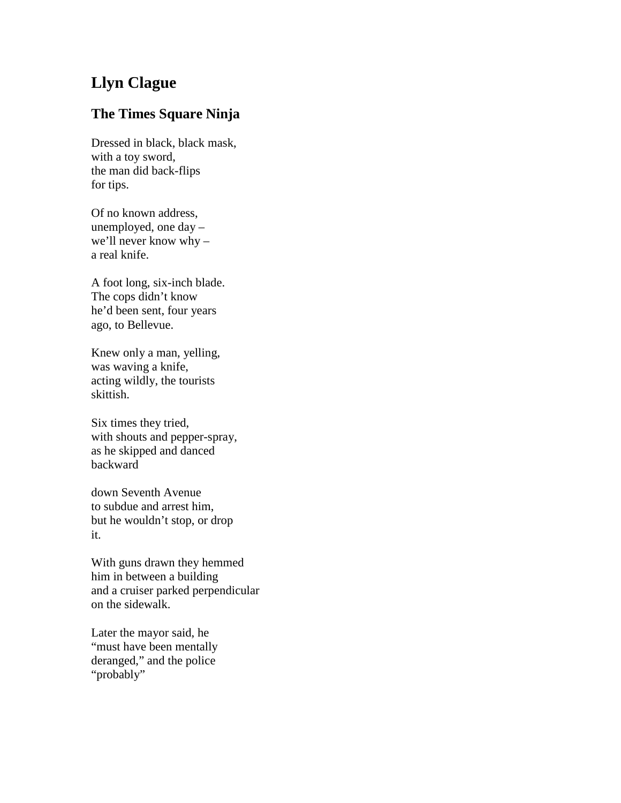## **Llyn Clague**

## **The Times Square Ninja**

Dressed in black, black mask, with a toy sword, the man did back-flips for tips.

Of no known address, unemployed, one day – we'll never know why – a real knife.

A foot long, six-inch blade. The cops didn't know he'd been sent, four years ago, to Bellevue.

Knew only a man, yelling, was waving a knife, acting wildly, the tourists skittish.

Six times they tried, with shouts and pepper-spray, as he skipped and danced backward

down Seventh Avenue to subdue and arrest him, but he wouldn't stop, or drop it.

With guns drawn they hemmed him in between a building and a cruiser parked perpendicular on the sidewalk.

Later the mayor said, he "must have been mentally deranged," and the police "probably"